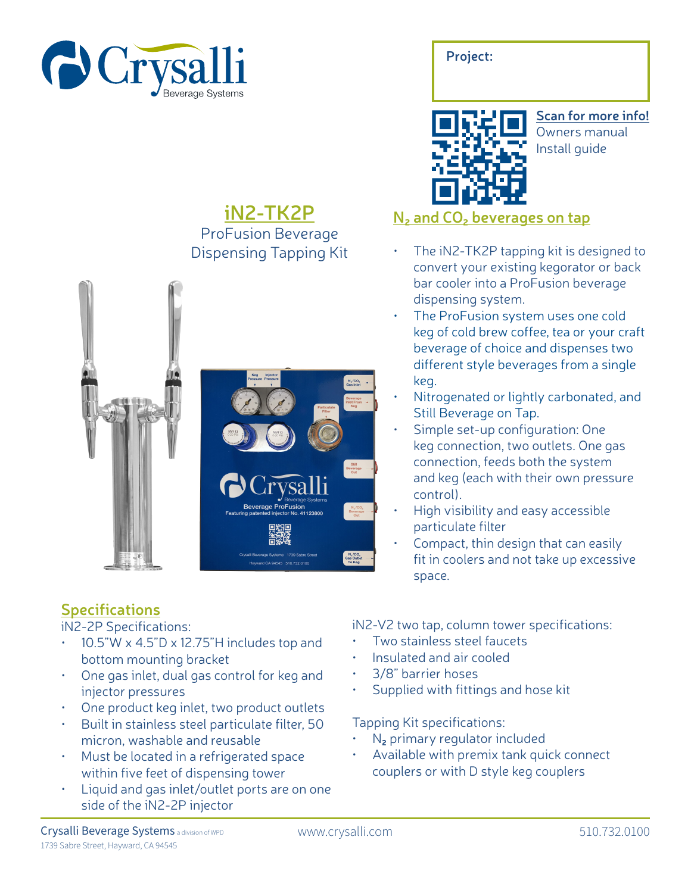

## **iN2-TK2P** ProFusion Beverage Dispensing Tapping Kit





**Project:**

**Scan for more info!** Owners manual Install guide

### **N2 and CO2 beverages on tap**

- The iN2-TK2P tapping kit is designed to convert your existing kegorator or back bar cooler into a ProFusion beverage dispensing system.
- The ProFusion system uses one cold keg of cold brew coffee, tea or your craft beverage of choice and dispenses two different style beverages from a single keg.
- Nitrogenated or lightly carbonated, and Still Beverage on Tap.
- Simple set-up configuration: One keg connection, two outlets. One gas connection, feeds both the system and keg (each with their own pressure control).
- High visibility and easy accessible particulate filter
- Compact, thin design that can easily fit in coolers and not take up excessive space.

# **Specifications**

iN2-2P Specifications:

- 10.5"W x 4.5"D x 12.75"H includes top and bottom mounting bracket
- One gas inlet, dual gas control for keg and injector pressures
- One product keg inlet, two product outlets
- Built in stainless steel particulate filter, 50 micron, washable and reusable
- Must be located in a refrigerated space within five feet of dispensing tower
- Liquid and gas inlet/outlet ports are on one side of the iN2-2P injector

iN2-V2 two tap, column tower specifications:

- Two stainless steel faucets
- Insulated and air cooled
- 3/8" barrier hoses
- Supplied with fittings and hose kit

Tapping Kit specifications:

- N**2** primary regulator included
- Available with premix tank quick connect couplers or with D style keg couplers